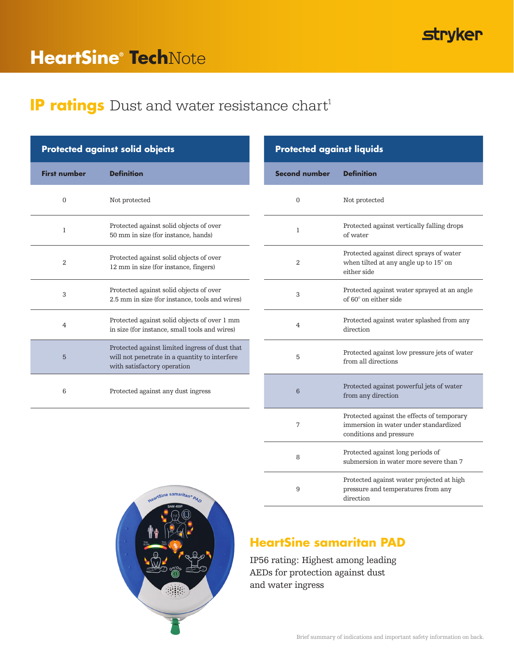## **stryker**

# **HeartSine® Tech**Note

### **IP ratings** Dust and water resistance chart<sup>1</sup>

|                     | <b>Protected against solid objects</b>                                                                                         | <b>Protected against liquids</b> |                                                 |
|---------------------|--------------------------------------------------------------------------------------------------------------------------------|----------------------------------|-------------------------------------------------|
| <b>First number</b> | <b>Definition</b>                                                                                                              | <b>Second number</b>             | <b>Definition</b>                               |
| $\overline{0}$      | Not protected                                                                                                                  | $\mathbf{0}$                     | Not protected                                   |
| 1                   | Protected against solid objects of over<br>50 mm in size (for instance, hands)                                                 | 1                                | Protected aga:<br>of water                      |
| 2                   | Protected against solid objects of over<br>12 mm in size (for instance, fingers)                                               | 2                                | Protected aga:<br>when tilted at<br>either side |
| 3                   | Protected against solid objects of over<br>2.5 mm in size (for instance, tools and wires)                                      | 3                                | Protected aga:<br>of 60° on eithe               |
| 4                   | Protected against solid objects of over 1 mm<br>in size (for instance, small tools and wires)                                  | $\overline{4}$                   | Protected aga:<br>direction                     |
| $5\phantom{.}$      | Protected against limited ingress of dust that<br>will not penetrate in a quantity to interfere<br>with satisfactory operation | 5                                | Protected aga:<br>from all direct               |
| 6                   | Protected against any dust ingress                                                                                             | 6                                | Protected aga:<br>from any dire                 |
|                     |                                                                                                                                |                                  |                                                 |

| cted against solid objects |                                                                                                                                | <b>Protected against liquids</b> |                                                                                                                |  |
|----------------------------|--------------------------------------------------------------------------------------------------------------------------------|----------------------------------|----------------------------------------------------------------------------------------------------------------|--|
| umber                      | <b>Definition</b>                                                                                                              | <b>Second number</b>             | <b>Definition</b>                                                                                              |  |
| 0                          | Not protected                                                                                                                  | $\overline{0}$                   | Not protected                                                                                                  |  |
|                            | Protected against solid objects of over<br>50 mm in size (for instance, hands)                                                 | 1                                | Protected against vertically falling drops<br>of water                                                         |  |
| 2                          | Protected against solid objects of over<br>12 mm in size (for instance, fingers)                                               | $\overline{2}$                   | Protected against direct sprays of water<br>when tilted at any angle up to 15° on<br>either side               |  |
| 3                          | Protected against solid objects of over<br>2.5 mm in size (for instance, tools and wires)                                      | 3                                | Protected against water sprayed at an angle<br>of 60° on either side                                           |  |
|                            | Protected against solid objects of over 1 mm<br>in size (for instance, small tools and wires)                                  | 4                                | Protected against water splashed from any<br>direction                                                         |  |
| 5                          | Protected against limited ingress of dust that<br>will not penetrate in a quantity to interfere<br>with satisfactory operation | 5                                | Protected against low pressure jets of water<br>from all directions                                            |  |
| 6                          | Protected against any dust ingress                                                                                             | $6\phantom{1}6$                  | Protected against powerful jets of water<br>from any direction                                                 |  |
|                            |                                                                                                                                | $\overline{7}$                   | Protected against the effects of temporary<br>immersion in water under standardized<br>conditions and pressure |  |
|                            |                                                                                                                                | 8                                | Protected against long periods of<br>submersion in water more severe than 7                                    |  |
|                            | HeartSine samaritan® PAD                                                                                                       | 9                                | Protected against water projected at high<br>pressure and temperatures from any<br>direction                   |  |



### **HeartSine samaritan PAD**

IP56 rating: Highest among leading AEDs for protection against dust and water ingress